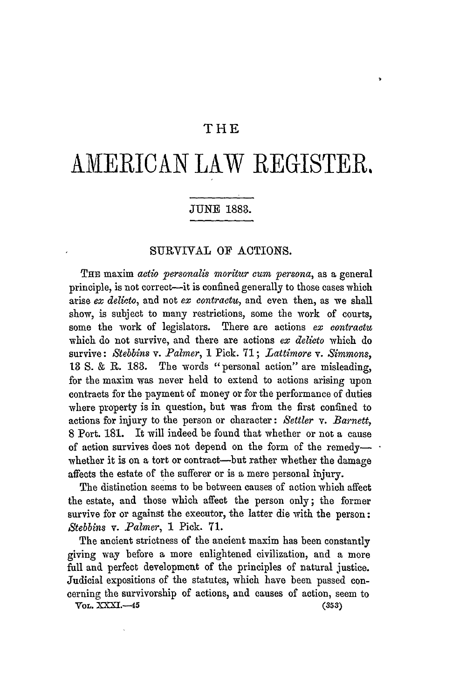## THE

## **AMERICAN** LAW REGISTER,

## **JUNE 1883.**

## SURVIVAL OF ACTIONS.

THE maxim *actwo personalis moritur cum persona,* as a general principle, is not correct—it is confined generally to those cases which arise *ex delicto,* and not *ex contractu,* and even then, as we shall show, is subject to many restrictions, some the work of courts, some the work of legislators. There are actions *ex contractu* which do not survive, and there are actions *ex delieto* which do survive: *Stebbins v. Palmer,* 1 Pick. 71; *Lattimore v. Simmons,* 13 S. & R. 183. The words "personal action" are misleading, for the maxim was never held to extend to actions arising upon contracts for the payment of money or for the performance of duties where property is in question, but was from the first confined to actions for injury to the person or character: *Settler v. Barnett,* 8 Port. 181. It will indeed be found that whether or not a cause of action survives does not depend on the form of the remedywhether it is on a tort or contract-but rather whether the damage affects the estate of the sufferer or is a mere personal injury.

The distinction seems to be between causes of action which affect the estate, **and** those which affect the person only; the former survive for or against the executor, the latter die with the person: *Stebbins* v. *Palmer,* 1 Pick. 71.

The ancient strictness of the ancient maxim has been constantly giving way before a more enlightened civilization, and a more full and perfect development of the principles of natural justice. Judicial expositions of the statutes, which have been passed concerning the survivorship of actions, and causes of action, seem to

 $V_{\text{OL}}$ ,  $\text{XXXI}$ ,  $-45$  (353)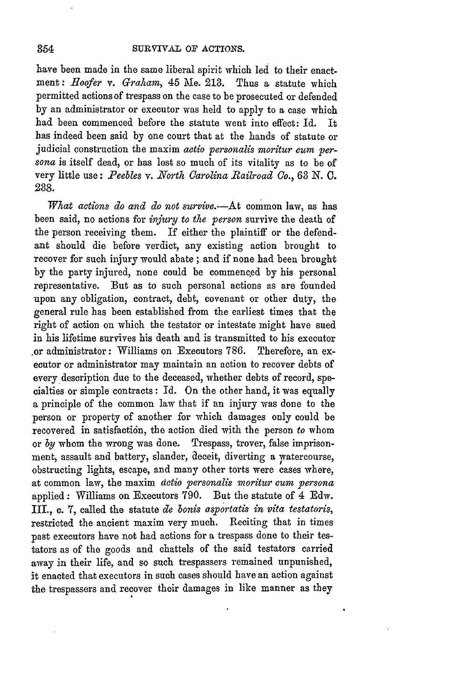have been made in the same liberal spirit which led to their enactment: *Roofer v. Graham,* **45** Me. **213.** Thus a statute which permitted actions of trespass on the case to be prosecuted or defended **by** an administrator or executor was held to apply to a case which had been commenced before the statute went into effect: Id. It has indeed been said **by** one court that at the hands of statute or judicial construction the maxim *actio personalis moritur cum persona* is itself dead, or **has** lost so much of its vitality as to be of very little use: *Peebles v. North Carolina Railroad Co.,* 63 **N.** *0.* **238.**

*What actions do and do not survive.-At* common law, as has been said, no actions for *injury to the person* survive the death of the person receiving them. If either the plaintiff or the defendant should die before verdict, any existing action brought to recover for such injury would abate ; and if none had been brought by the party injured, none could be commenced by his personal representative. But as to such personal actions as are founded upon any obligation, contract, debt, covenant or other duty, the general rule has been established from the earliest times that the right of action on which the testator or intestate might have sued in his lifetime survives his death and is transmitted to his executor .or administrator: Williams on Executors 786. Therefore, an executor or administrator may maintain an action to recover debts of every description due to the deceased, whether debts of record, specialties or simple contracts: Id. On the other hand, it was equally a principle of the common law that if an injury was done to the person or property of another for which damages only could be recovered in satisfaction, the action died with the person to whom or *by* whom the wrong was done. Trespass, trover, false imprisonment, assault and battery, slander, deceit, diverting a watercourse, obstructing lights, escape, and many other torts were cases where, at common law, the maxim *aetio personalis rnoritur cum persona* applied: Williams on Executors 790. But the statute of 4 Edw. III., **c.** 7, called the statute *de bonis asportatis in vita testatoris,* restricted the ancient maxim very much. Reciting that in times past executors have not had actions for a trespass done to their testators as of the goods and chattels of the said testators carried away in their life, and so such trespassers remained unpunished, it enacted that executors in such cases should have an action against the trespassers and recover their damages in like manner as they

354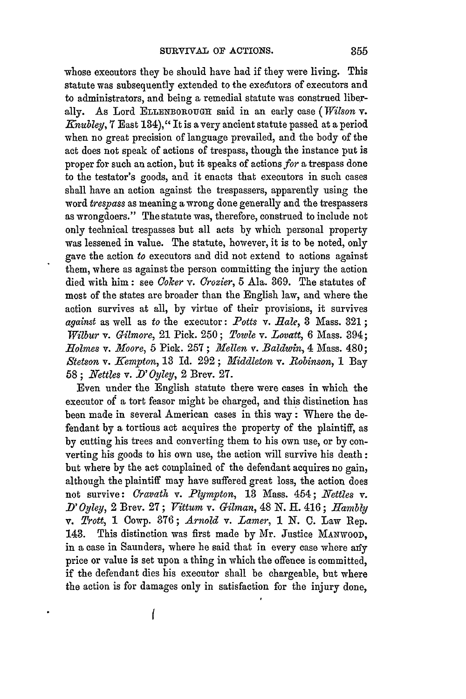whose executors they be should have had if they were living. This statute was subsequently extended to the exedutors of executors and to administrators, and being **a** remedial statute was construed liberally. As Lord **ELLENBOLOUGH** said in an early case *(Wilson* v. *Knubley, 7 East 134),* "It is a very ancient statute passed at a period when no great precision of language prevailed, and the body of the act does not speak of actions of trespass, though the instance put is proper for such an action, but it speaks of actions *for* a trespass done to the testator's goods, and it enacts that executors in such cases shall have an action against the trespassers, apparently using the word *trespass* as meaning a wrong done generally and the trespassers as wrongdoers." The statute was, therefore, construed to include not only technical trespasses but all acts by which personal property was lessened in value. The statute, however, it is to be noted, only gave the action *to* executors and did not extend to actions against them, where as against the person committing the injury the action died with him: see Coker v. *Crozier,* 5 Ala. 369. The statutes of most of the states are broader than the English law, and where the action survives at all, by virtue of their provisions, it survives against as well as *to* the executor: Potts v. Hale, 3 Mass. 321; *Wilbur v. Gilmore,* 21 Pick. 250; *Towle v. Lovatt,* 6 Mass. 394; *Holmes v. Moore,* 5 Pick. 257; *Mellen v. Baldwin,* 4 Mass. 480; *Stetson v. Kempton,* **13** Id. **292;** *Middleton v. Robinson,* 1 Bay **58** ; *\_Nettles v. -?' Oyley,* 2 Brev. **27.**

Even under the English statute there were cases in which the executor of a tort feasor might be charged, and this distinction has been made in several American cases in this way: Where the defendant by a tortious act acquires the property of the plaintiff, as by cutting his trees and converting them to his own use, or by converting his goods to his own use, the action will survive his death: but where by the act complained of the defendant acquires no gain, although the plaintiff may have suffered great loss, the action does not survive: *Cravath v. Plympton,* **13** Mass. 454; *Nettles v.* D' *Oyley,* 2 Brev. **27;** *Vittum v. G-ilman,* 48 *N.* H. 416; *ffamblij v. Trott,* 1 Cowp. 876; *Arnold v. Lamer,* **1** *N.* 0. Law Rep. 148. This distinction was first made by Mr. Justice MANWOOD, in a case in Saunders, where he said that in every case where aify price or value is set upon a thing in which the offence is committed, if the defendant dies his executor shall be chargeable, but where the action is for damages only in satisfaction for the injury done,

l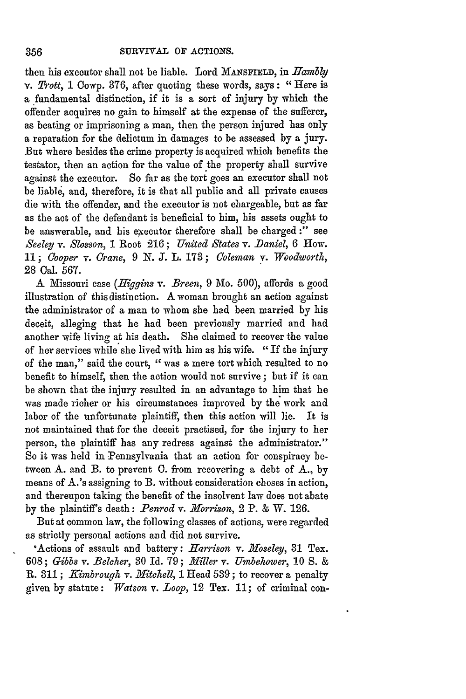then his executor shall not be liable. Lord MANSFIELD, in *Ifambly* **v.** Trott, 1 Cowp. 376, after quoting these words, says: "Here is a fundamental distinction, if it is a sort of injury **by** which the offender acquires no gain to himself at the expense of the sufferer, as beating or imprisoning a man, then the person injured has only a reparation for the delictum in damages to be assessed **by** a jury. But where besides the crime property is acquired which benefits the testator, then an action for the value of the property shall survive against the executor. So far as the tort goes an executor shall not be liable, and, therefore, it is that all public and all private causes die with the offender, and the executor is not chargeable, but as far as the act of the defendant is beneficial to him, his assets ought to be answerable, and his executor therefore shall be charged **:"** see  $Seeley$  v. Slosson, 1 Root 216; United States v. Daniel, 6 How. 11; *Cooper v. Crane, 9 N.* J. L. 173; *Coleman v. Woodworth,* **28** Gal. 567.

A Missouri case *(Hliggins v. Breen,* 9 Mo. 500), affords a good illustration of this distinction. A woman brought an action against the administrator of a man to whom she had been married by his deceit, alleging that he had been previously married and had another wife living at his death. She claimed to recover the value of her services while she lived with him as his wife. *"If* the injury of the man," said the court, **"** was a mere tort which resulted to no benefit to himself, then the action would not survive; but if it can be shown that the injury resulted in an advantage to him that he was made richer or his circumstances improved by the work and labor of the unfortunate plaintiff, then this action will lie. It is not maintained that for the deceit practised, for the injury to her person, the plaintiff has any redress against the administrator." So it was held in Pennsylvania that an action for conspiracy between A. and B. to prevent C. from recovering a debt of A., by means of A.'s assigning to **B.** without consideration choses in action, and thereupon taking the benefit of the insolvent law does not abate by the plaintiff's death: *Penrod v. forrison,* 2 P. & W. 126.

But at common law, the following classes of actions, were regarded as strictly personal actions and did not survive.

'Actions of assault and battery: *Harrison v. Moseley*, 31 Tex. 608; *Gibbs v. Belcher,* 30 Id. 79; *Miller v. Umbehower,* **10** *S.* & R. 311; *Kimbrough v. Mitchell*, 1 Head 539; to recover a penalty given by statute: *Watson v. Loop,* 12 Tex. 11; of criminal con-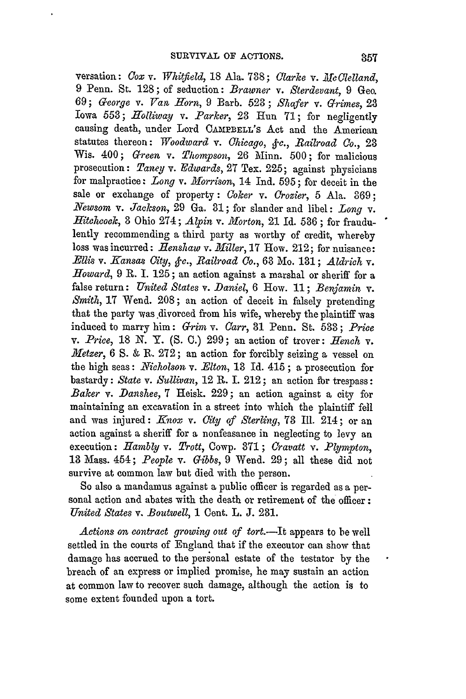versation: *Cox v. Whitfield,* 18 Ala. 738; *Clarke v. McClelland,* 9 Penn. St. 128; of seduction: *Brawner v. Sterdevant,* 9 Geo. 69; *George v. Van Horn,* 9 Barb. 523 ; *Shafer v. Grimes,* **23** Iowa 553; *Holliway v. Parker,* 23 Hun **71;** for negligently causing death, under Lord **CAMPBELL'S** Act and the American statutes thereon: *Woodward v. Chicago, &c., Railroad Co.*, 23 Wis. 400; *Green v. Thompson,* 26 Minn. 500; for malicious prosecution: *Taney v. Edwards,* 27 Tex. 225; against physicians for malpractice: *Long v. Morrison,* 14 Ind. 595; for deceit in the sale or exchange of property: *(oker v. Crozier,* 5 Ala. 369; *Newsom v. Jackson,* 29 Ga. **31;** for slander and libel: *Long v. Hitchcock,* 3 Ohio 274; *Alpin v. Morton,* 21 Id. 536; for fraudulently recommending a third party as worthy of credit, whereby loss was incurred: *Henshaw v. Miller*, 17 How. 212; for nuisance: *Blli* v. *Hansam City, &c., Railroad Co.,* **63** Mo. 131; *Aldrich v. Howard,* 9 R. I. 125; an action against a marshal or sheriff for a false return: *United States v. Daniel,* 6 How. 11; *Benjamin* v. *Smith,* 17 Wend. 208; an action of deceit in falsely pretending that the party was divorced from his wife, whereby the plaintiff was induced to marry him: *Grim* v. *Carr,* **31** Penn. St. 533; *Price* v. *Price,* 18 N. Y. **(S.** C.) 299; an action of trover: *Rench* v. Metzer, 6 S. & R. 272; an action for forcibly seizing a vessel on the high seas: *Nicholson v. Elton,* **13** Id. 415; a prosecution for bastardy: *State v. Sullivan,* 12 R. I. 212; an action fbr trespass: *Baker v. Danshee,* 7 Heisk. 229; an action against a city for maintaining an excavation in a street into which the plaintiff fell and was injured: *Knox v. City of Sterling,* 73 Ill. 214; or an action against a sheriff for a nonfeasance in neglecting to levy an execution: *Hambly v. Trott, Cowp. 371; Cravatt v. Plympton,* 13 Miass. 454; *People v. Gibbs,* 9 Wend. 29; all these did not survive at common law but died with the person.

So also a mandamus against a public officer is regarded as a personal action and abates with the death or retirement of the officer: *United States v. Boutwell,* 1 Cent. L. J. 231.

*Actions on contract growing out of tort.-It* appears to be well settled in the courts of England that if the executor can show that damage has accrued to the personal estate of the testator by the breach of an express or implied promise, he may sustain an action at common law to recover such damage, although the action is to some extent founded upon a tort.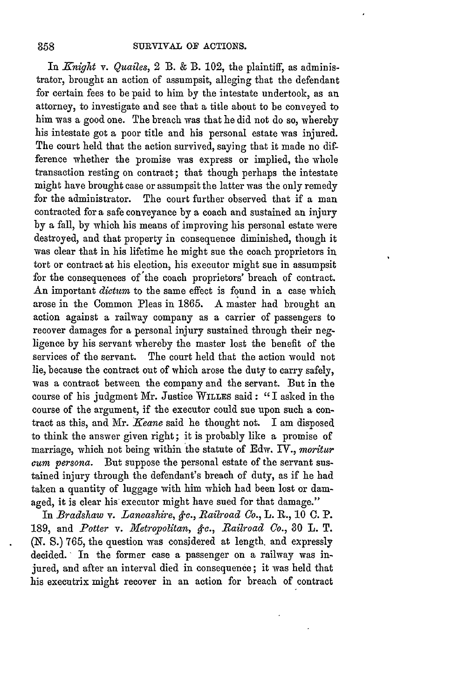In *KYnigkt v. Quailes,* 2 B. & B. 102, the plaintiff, as administrator, brought an action of assumpsit, alleging that the defendant for certain fees to be paid to him by the intestate undertook, as an attorney, to investigate and see that a title about to be conveyed to him was a good one. The breach was that he did not do so, whereby his intestate got a poor title and his personal estate was injured. The court held that the action survived, saying that it made no difference whether the promise was express or implied, the whole transaction resting on contract; that though perhaps the intestate might have brought case or assumpsit the latter was the only remedy for the administrator. The court further observed that if a man contracted for a safe conveyance by a coach and sustained an injury by a fall, by which his means of improving his personal estate were destroyed, and that property in consequence diminished, though it was clear that in his lifetime he might sue the coach proprietors in tort or contract at his election, his executor might sue in assumpsit for the consequences of'the coach proprietors' breach of contract. An important *dictum* to the same effect is found in a case which arose in the Common Pleas in 1865. **A** master had brought an action against a railway company as a carrier of passengers to recover damages for a personal injury sustained through their negligence by his servant whereby the master lost the benefit of the services of the servant. The court held that the action would not lie, because the contract out of which arose the duty to carry safely, was a contract between the company and the servant. But in the course of his judgment Mr. Justice WILLES said **:** *"I* asked in the course of the argument, if the executor could sue upon such a contract as this, and Mr. *Keane* said he thought not. I am disposed to think the answer given right; it is probably like a promise of marriage, which not being within the statute of Edw. IV., *moritur cum persona.* But suppose the personal estate of the servant sustained injury through the defendant's breach of duty, as if he had taken a quantity of luggage with him which had been lost or damaged, it is clear his executor might have sued for that damage."

In *Bradshaw v. Lancashire, &c., Railroad Co.,* L. R., 10 **0.** P. 189, and *Potter v. Metropolitan, §c., Railroad Co.*, 30 L. T. (N. S.) 765, the question was considered at length. and expressly decided.' In the former case a passenger on a railway was injured, and after an interval died in consequence; it was held that his executrix might recover in an action for breach of contract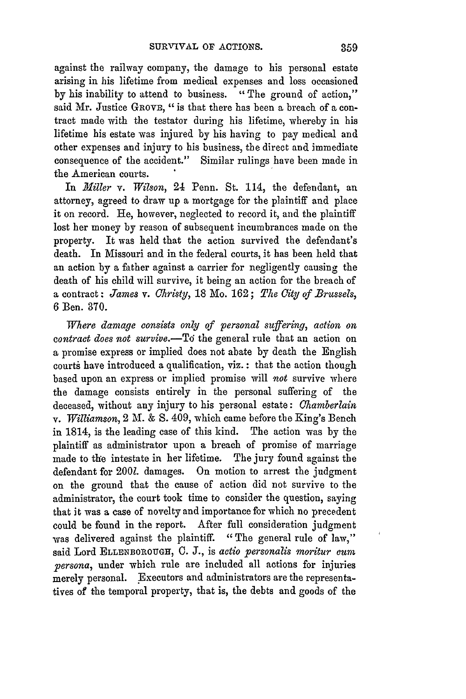against the railway company, the damage to his personal estate arising in his lifetime from medical expenses and loss occasioned by his inability to attend to business. "The ground of action," said Mr. Justice GROVE, " is that there has been a breach of a contract made with the testator during his lifetime, whereby in his lifetime his estate was injured by his having to pay medical and other expenses and injury to his business, the direct and immediate consequence of the accident." Similar rulings have been made in the American courts.

In *Miller* v. *Wilson,* 24 Penn. St. 114, the defendant, an attorney, agreed to draw up a mortgage for the plaintiff and place it on record. He, however, neglected to record it, and the plaintiff lost her money by reason of subsequent incumbrances made on the property. It was held that the action survived the defendant's death. In Missouri and in the federal courts, it has been held that an action by a father against a carrier for negligently causing the death of his child will survive, it being an action for the breach of a contract: *James v. Christy,* 18 Mo. 162; *The City of Brussels,* 6 Ben. 370.

*Where damage consists only of personal suffering, action on contract does not survive.-Td* the general rule that an action on a promise express or implied does not abate by death the English courts have introduced a qualification, viz.: that the action though based upon an express or implied promise will *not* survive where the damage consists entirely in the personal suffering of the deceased, without any injury to his personal estate: *Chamberlain v. Williamson,* 2 **M.** & **S.** 409, which came before the King's Bench in 1814, is the leading case of this kind. The action was by the plaintiff as administrator upon a breach of promise of marriage made to the intestate in her lifetime. The jury found against the defendant for 2001. damages. On motion to arrest the judgment on the ground that the cause of action did not survive to the administrator, the court took time to consider the question, saying that it was a case of novelty and importance for which no precedent could be found in the report. After full consideration judgment was delivered against the plaintiff. "The general rule of law," said Lord **ELLENBOROUG1, C. J.,** is *actio personalis moritur curn persona,* under which rule are included all actions for injuries merely personal. Executors and administrators are the representatives of the temporal property, that is, the debts and goods of the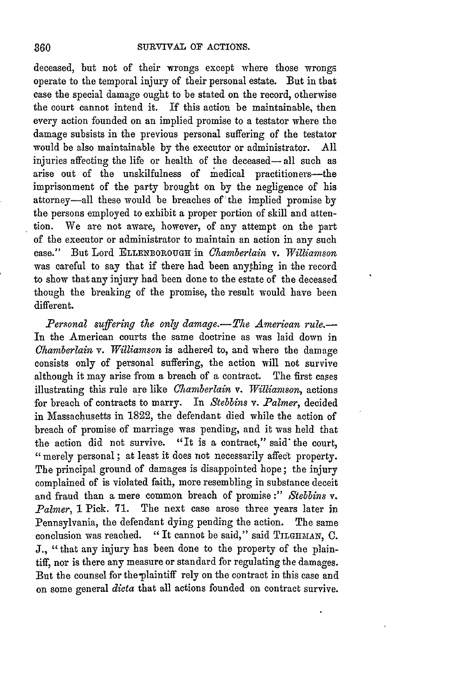deceased, but not of their wrongs except where those wrongs operate to the temporal injury of their personal estate. But in that case the special damage ought to be stated on the record, otherwise the court cannot intend it. If this action be maintainable, then every action founded on an implied promise to a testator where the damage subsists in the previous personal suffering of the testator would be also maintainable by the executor or administrator. All injuries affecting the life or health of the deceased-all such as arise out of the unskilfulness of medical practitioners-the imprisonment of the party brought on by the negligence of his attorney-all these would be breaches of'the implied promise by the persons employed to exhibit a proper portion of skill and attention. We are not aware, however, of any attempt on the part of the executor or administrator to maintain an action in any such case." But Lord **ELLENBOROUGH** in *Chamberlain v. Williamson* was careful to say that if there had been anything in the record to show that any injury had been done to the estate of the deceased though the breaking of the promise, the result would have been different.

*Personal suffering the only damage.*-The American rule.-In the American courts the same doctrine as was laid down in *Chamberlain v. Williamson* is adhered to, and where the damage consists only of personal suffering, the action will not survive although it may arise from a breach of a contract. The first cases illustrating this rule are like *6Ohamberlain v. Williamson,* actions for breach of contracts to marry. In *Stebbins v. Palmer,* decided in Massachusetts in 1822, the defendant died while the action of breach of promise of marriage was pending, and it was held that the action did not survive. "It is a contract," said' the court, "merely personal; at least it does not necessarily affect property. The principal ground of damages is disappointed hope; the injury complained of is violated faith, more resembling in substance deceit and fraud than a mere common breach of promise :" *Stebbins v. Palmer,* 1 Pick. 71. The next case arose three years later in Pennsylvania, the defendant dying pending the action. The same conclusion was reached. *"It* cannot be said," said **TILGHIMAN,** C. J., "that any injury has been done to the property of the plaintiff, nor is there any measure or standard for regulating the damages. But the counsel for the plaintiff rely on the contract in this case and on some general *dicta* that all actions founded on contract survive.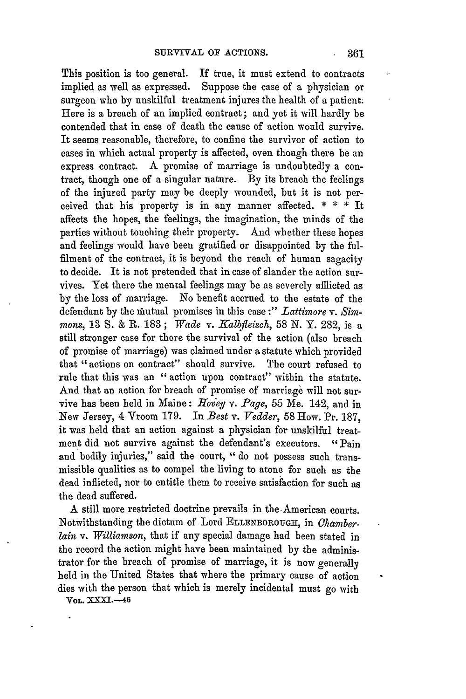This position is too general. If true, it must extend to contracts implied as well as expressed. Suppose the case of a physician or surgeon who by unskilful treatment injures the health of a patient. Here is a breach of an implied contract; and yet it will hardly be contended that in case of death the cause of action would survive. It seems reasonable, therefore, to confine the survivor of action to cases in which actual property is affected, even though there be an express contract. **A** promise of marriage is undoubtedly a contract, though one of a singular nature. By its breach the feelings of the injured party may be deeply wounded, but it is not perceived that his property is in any manner affected. **\* \* \*** It affects the hopes, the feelings, the imagination, the minds of the parties without touching their property. And whether these hopes and feelings would have been gratified or disappointed by the fulfilment of the contract, it is beyond the reach of human sagacity to decide. It is not pretended that in case of slander the action survives. Yet there the mental feelings may be as severely afflicted as by the loss of marriage. No benefit accrued to the estate of the defendant by the mutual promises in this case:" Lattimore v. Sim*mons,* 13 S. & R. 183 ; *Wade* v. *Jfalbfteisch,* 58 *N.* Y. 282, is a still stronger case for there the survival of the action (also breach of promise of marriage) was claimed under a statute which provided that "actions on contract" should survive. The court refused to rule that this was an "action upon contract" within the statute. And that an action for breach of promise of marriage will not survive has been held in Maine: Hovey v. Page, 55 Me. 142, and in New Jersey, 4 Vroom 179. In *Best v. Vedder*, 58 How. Pr. 187, it was held that an action against a physician for unskilful treatment did not survive against the defendant's executors. "Pain and bodily injuries," said the court, " do not possess such transmissible qualities as to compel the living to atone for such as the dead inflicted, nor to entitle them to receive satisfaction for such as the dead suffered.

A still more restricted doctrine prevails in the.American courts. Notwithstanding the dictum of Lord ELLENBOROUGH, in *Chamberlain v. Williamson,* that if any special damage had been stated in the record the action might have been maintained by the administrator for the breach of promise of marriage, it is now generally held in the United States that where the primary cause of action dies with the person that which is merely incidental must go with

**VOL. XXXI.-46**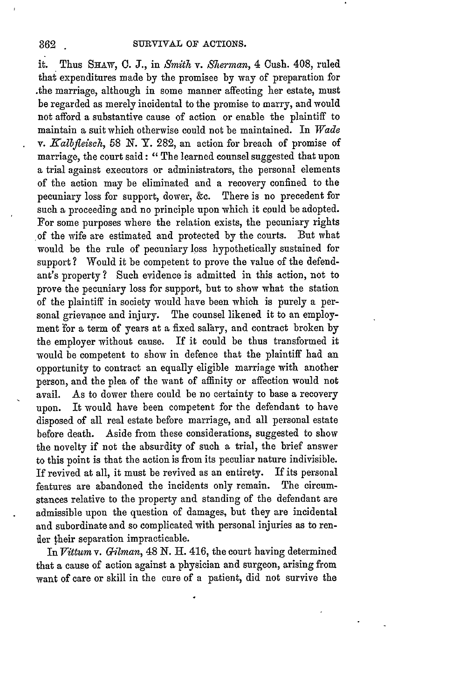it. Thus SHAW, C. J., in Smith v. Sherman, 4 Cush. 408, ruled that expenditures made by the promisee by way of preparation for .the marriage, although in some manner affecting her estate, must be regarded as merely incidental to the promise to marry, and would not afford a substantive cause of action or enable the plaintiff to maintain a suit which otherwise could not be maintained. In *Wade v. Kalbfleisch,* 58 *N.* Y. 282, an action for breach of promise of marriage, the court said: "The learned counsel suggested that upon a trial against executors or administrators, the personal elements of the action may be eliminated and a recovery confined to the pecuniary loss for support, dower, &c. There is no precedent for such a proceeding and no principle upon which it could be adopted. For some purposes where the relation exists, the pecuniary rights of the wife are estimated and protected by the courts. But what would be the rule of pecuniary loss hypothetically sustained for support? Would it be competent to prove the value of the defendant's property ? Such evidence is admitted in this action, not to prove the pecuniary loss for support, but to show what the station of the plaintiff in society would have been which is purely a personal grievance and injury. The counsel likened it to an employment for a term of years at a fixed salary, and contract broken by the employer without cause. If it could be thus transformed it would be competent to show in defence that the plaintiff had an opportunity to contract an equally eligible marriage with another person, and the plea of the want of affinity or affection would not avail. As to dower there could be no certainty to base a recovery upon. It would have been competent for the defendant to have disposed of all real estate before marriage, and all personal estate before death. Aside from these considerations, suggested to show the novelty if not the absurdity of such a trial, the brief answer to this point is that the action is from its peculiar nature indivisible. If revived at all, it must be revived as an entirety. If its personal features are abandoned the incidents only remain. The circumstances relative to the property and standing of the defendant are admissible upon the question of damages, but they are incidental and subordinate and so complicated with personal injuries as to render their separation impracticable.

In *Vittum* v. *Gilman,* 48 N. H. 416, the court having determined that a cause of action against **a** physician and surgeon, arising from want of care or skill in the cure of a patient, did not survive the